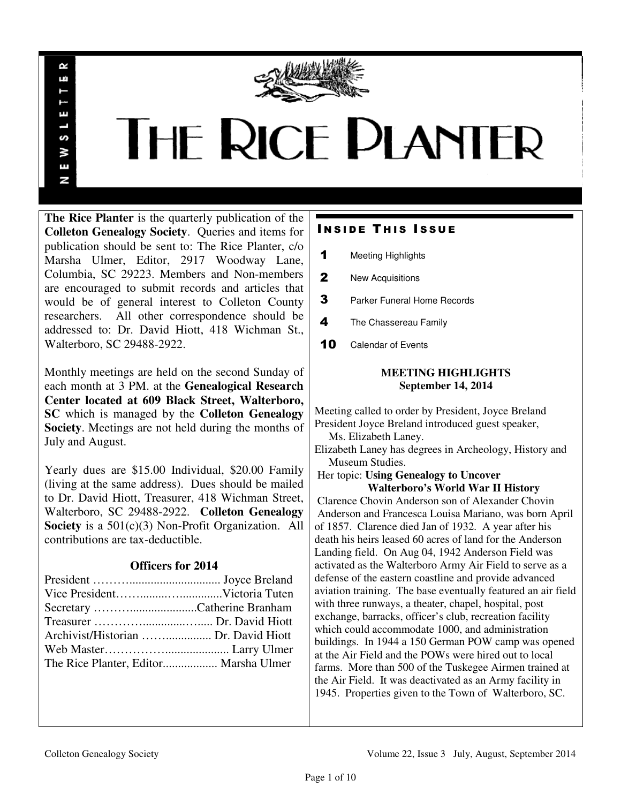

# THE RICE PLANTER

**The Rice Planter** is the quarterly publication of the **Colleton Genealogy Society**. Queries and items for publication should be sent to: The Rice Planter, c/o Marsha Ulmer, Editor, 2917 Woodway Lane, Columbia, SC 29223. Members and Non-members are encouraged to submit records and articles that would be of general interest to Colleton County researchers. All other correspondence should be addressed to: Dr. David Hiott, 418 Wichman St., Walterboro, SC 29488-2922.

R uń

ш

S ¥ Ŧ N

Monthly meetings are held on the second Sunday of each month at 3 PM. at the **Genealogical Research Center located at 609 Black Street, Walterboro, SC** which is managed by the **Colleton Genealogy Society**. Meetings are not held during the months of July and August.

Yearly dues are \$15.00 Individual, \$20.00 Family (living at the same address). Dues should be mailed to Dr. David Hiott, Treasurer, 418 Wichman Street, Walterboro, SC 29488-2922. **Colleton Genealogy Society** is a 501(c)(3) Non-Profit Organization. All contributions are tax-deductible.

# **Officers for 2014**

| Secretary Catherine Branham           |  |
|---------------------------------------|--|
|                                       |  |
|                                       |  |
|                                       |  |
| The Rice Planter, Editor Marsha Ulmer |  |

# **INSIDE THIS ISSUE**

- 1 Meeting Highlights
- 2 New Acquisitions
- **3** Parker Funeral Home Records
- 4 The Chassereau Family
- 10 Calendar of Events

## **MEETING HIGHLIGHTS September 14, 2014**

Meeting called to order by President, Joyce Breland President Joyce Breland introduced guest speaker, Ms. Elizabeth Laney.

Elizabeth Laney has degrees in Archeology, History and Museum Studies.

 Her topic: **Using Genealogy to Uncover Walterboro's World War II History** 

 Clarence Chovin Anderson son of Alexander Chovin Anderson and Francesca Louisa Mariano, was born April of 1857. Clarence died Jan of 1932. A year after his death his heirs leased 60 acres of land for the Anderson Landing field. On Aug 04, 1942 Anderson Field was activated as the Walterboro Army Air Field to serve as a defense of the eastern coastline and provide advanced aviation training. The base eventually featured an air field with three runways, a theater, chapel, hospital, post exchange, barracks, officer's club, recreation facility which could accommodate 1000, and administration buildings. In 1944 a 150 German POW camp was opened at the Air Field and the POWs were hired out to local farms. More than 500 of the Tuskegee Airmen trained at the Air Field. It was deactivated as an Army facility in 1945. Properties given to the Town of Walterboro, SC.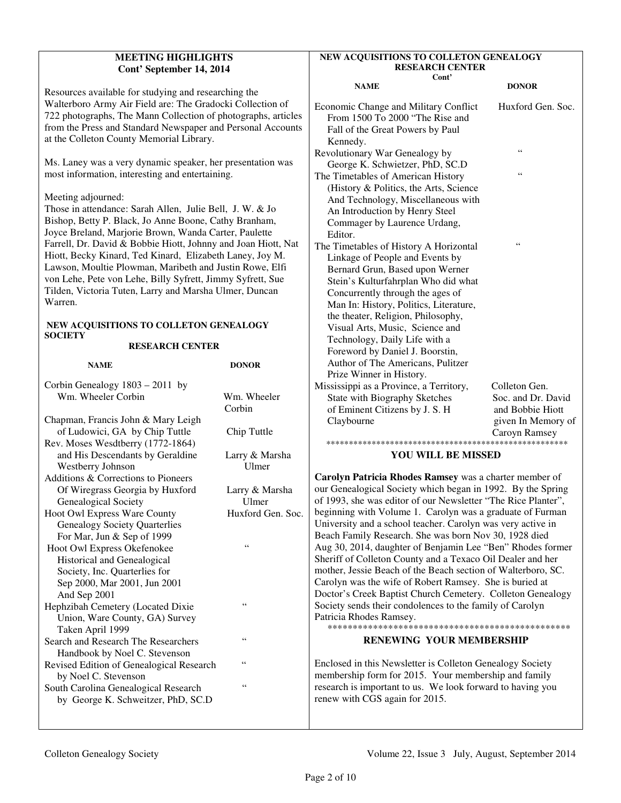#### **MEETING HIGHLIGHTS Cont' September 14, 2014**

Resources available for studying and researching the Walterboro Army Air Field are: The Gradocki Collection of 722 photographs, The Mann Collection of photographs, articles from the Press and Standard Newspaper and Personal Accounts at the Colleton County Memorial Library.

Ms. Laney was a very dynamic speaker, her presentation was most information, interesting and entertaining.

#### Meeting adjourned:

Those in attendance: Sarah Allen, Julie Bell, J. W. & Jo Bishop, Betty P. Black, Jo Anne Boone, Cathy Branham, Joyce Breland, Marjorie Brown, Wanda Carter, Paulette Farrell, Dr. David & Bobbie Hiott, Johnny and Joan Hiott, Nat Hiott, Becky Kinard, Ted Kinard, Elizabeth Laney, Joy M. Lawson, Moultie Plowman, Maribeth and Justin Rowe, Elfi von Lehe, Pete von Lehe, Billy Syfrett, Jimmy Syfrett, Sue Tilden, Victoria Tuten, Larry and Marsha Ulmer, Duncan Warren.

#### **NEW ACQUISITIONS TO COLLETON GENEALOGY SOCIETY**

#### **RESEARCH CENTER**

| <b>NAME</b>                                | <b>DONOR</b>      |  |
|--------------------------------------------|-------------------|--|
| Corbin Genealogy $1803 - 2011$ by          |                   |  |
| Wm. Wheeler Corbin                         | Wm. Wheeler       |  |
|                                            | Corbin            |  |
| Chapman, Francis John & Mary Leigh         |                   |  |
| of Ludowici, GA by Chip Tuttle             | Chip Tuttle       |  |
| Rev. Moses Wesdtberry (1772-1864)          |                   |  |
| and His Descendants by Geraldine           | Larry & Marsha    |  |
| Westberry Johnson                          | Ulmer             |  |
| Additions & Corrections to Pioneers        |                   |  |
| Of Wiregrass Georgia by Huxford            | Larry & Marsha    |  |
| Genealogical Society                       | Ulmer             |  |
| Hoot Owl Express Ware County               | Huxford Gen. Soc. |  |
| <b>Genealogy Society Quarterlies</b>       |                   |  |
| For Mar, Jun & Sep of 1999                 |                   |  |
| Hoot Owl Express Okefenokee                | 66                |  |
| <b>Historical and Genealogical</b>         |                   |  |
| Society, Inc. Quarterlies for              |                   |  |
| Sep 2000, Mar 2001, Jun 2001               |                   |  |
| And Sep 2001                               |                   |  |
| Hephzibah Cemetery (Located Dixie          | $\zeta$ $\zeta$   |  |
| Union, Ware County, GA) Survey             |                   |  |
| Taken April 1999                           |                   |  |
| Search and Research The Researchers        | 66                |  |
| Handbook by Noel C. Stevenson              |                   |  |
| Revised Edition of Genealogical Research   | $\zeta$ $\zeta$   |  |
| by Noel C. Stevenson                       |                   |  |
| 66<br>South Carolina Genealogical Research |                   |  |
| by George K. Schweitzer, PhD, SC.D         |                   |  |
|                                            |                   |  |

#### **NEW ACQUISITIONS TO COLLETON GENEALOGY RESEARCH CENTER Cont'**

| Cont<br><b>NAME</b>                                                                                                                                                                                                                                                                                                                                                                                                                             | <b>DONOR</b>                                                                  |
|-------------------------------------------------------------------------------------------------------------------------------------------------------------------------------------------------------------------------------------------------------------------------------------------------------------------------------------------------------------------------------------------------------------------------------------------------|-------------------------------------------------------------------------------|
| <b>Economic Change and Military Conflict</b><br>From 1500 To 2000 "The Rise and<br>Fall of the Great Powers by Paul<br>Kennedy.                                                                                                                                                                                                                                                                                                                 | Huxford Gen. Soc.                                                             |
| Revolutionary War Genealogy by                                                                                                                                                                                                                                                                                                                                                                                                                  | 66                                                                            |
| George K. Schwietzer, PhD, SC.D                                                                                                                                                                                                                                                                                                                                                                                                                 |                                                                               |
| The Timetables of American History<br>(History & Politics, the Arts, Science<br>And Technology, Miscellaneous with<br>An Introduction by Henry Steel<br>Commager by Laurence Urdang,                                                                                                                                                                                                                                                            | 66                                                                            |
| Editor.                                                                                                                                                                                                                                                                                                                                                                                                                                         |                                                                               |
| The Timetables of History A Horizontal<br>Linkage of People and Events by<br>Bernard Grun, Based upon Werner<br>Stein's Kulturfahrplan Who did what<br>Concurrently through the ages of<br>Man In: History, Politics, Literature,<br>the theater, Religion, Philosophy,<br>Visual Arts, Music, Science and<br>Technology, Daily Life with a<br>Foreword by Daniel J. Boorstin,<br>Author of The Americans, Pulitzer<br>Prize Winner in History. | 66                                                                            |
| Mississippi as a Province, a Territory,                                                                                                                                                                                                                                                                                                                                                                                                         | Colleton Gen.                                                                 |
| State with Biography Sketches<br>of Eminent Citizens by J. S. H<br>Claybourne                                                                                                                                                                                                                                                                                                                                                                   | Soc. and Dr. David<br>and Bobbie Hiott<br>given In Memory of<br>Caroyn Ramsey |

#### **YOU WILL BE MISSED**

**Carolyn Patricia Rhodes Ramsey** was a charter member of our Genealogical Society which began in 1992. By the Spring of 1993, she was editor of our Newsletter "The Rice Planter", beginning with Volume 1. Carolyn was a graduate of Furman University and a school teacher. Carolyn was very active in Beach Family Research. She was born Nov 30, 1928 died Aug 30, 2014, daughter of Benjamin Lee "Ben" Rhodes former Sheriff of Colleton County and a Texaco Oil Dealer and her mother, Jessie Beach of the Beach section of Walterboro, SC. Carolyn was the wife of Robert Ramsey. She is buried at Doctor's Creek Baptist Church Cemetery. Colleton Genealogy Society sends their condolences to the family of Carolyn Patricia Rhodes Ramsey.

\*\*\*\*\*\*\*\*\*\*\*\*\*\*\*\*\*\*\*\*\*\*\*\*\*\*\*\*\*\*\*\*\*\*\*\*\*\*\*\*\*\*\*\*\*\*\*\*

#### **RENEWING YOUR MEMBERSHIP**

Enclosed in this Newsletter is Colleton Genealogy Society membership form for 2015. Your membership and family research is important to us. We look forward to having you renew with CGS again for 2015.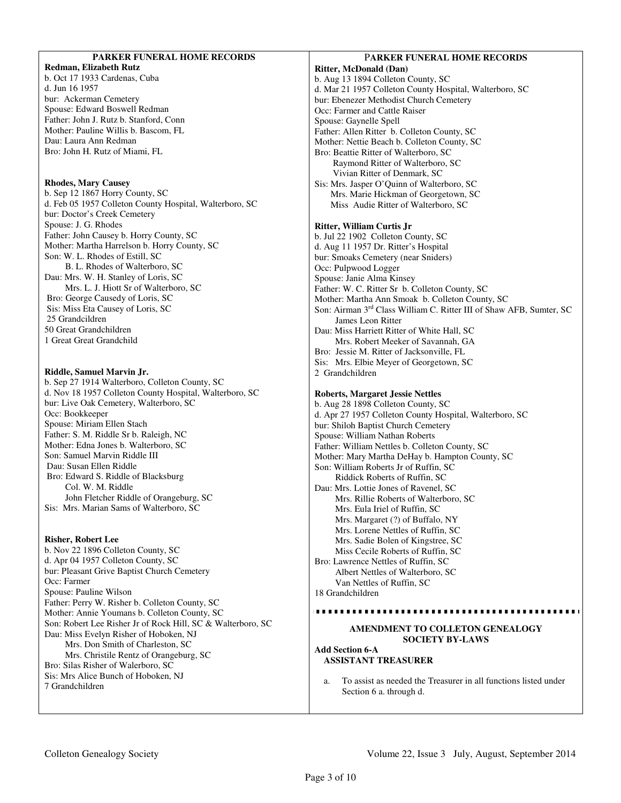### **PARKER FUNERAL HOME RECORDS**

**Redman, Elizabeth Rutz**  b. Oct 17 1933 Cardenas, Cuba d. Jun 16 1957 bur: Ackerman Cemetery Spouse: Edward Boswell Redman Father: John J. Rutz b. Stanford, Conn Mother: Pauline Willis b. Bascom, FL Dau: Laura Ann Redman Bro: John H. Rutz of Miami, FL

#### **Rhodes, Mary Causey**

b. Sep 12 1867 Horry County, SC d. Feb 05 1957 Colleton County Hospital, Walterboro, SC bur: Doctor's Creek Cemetery Spouse: J. G. Rhodes Father: John Causey b. Horry County, SC Mother: Martha Harrelson b. Horry County, SC Son: W. L. Rhodes of Estill, SC B. L. Rhodes of Walterboro, SC Dau: Mrs. W. H. Stanley of Loris, SC Mrs. L. J. Hiott Sr of Walterboro, SC Bro: George Causedy of Loris, SC Sis: Miss Eta Causey of Loris, SC 25 Grandcildren 50 Great Grandchildren 1 Great Great Grandchild

#### **Riddle, Samuel Marvin Jr.**

b. Sep 27 1914 Walterboro, Colleton County, SC d. Nov 18 1957 Colleton County Hospital, Walterboro, SC bur: Live Oak Cemetery, Walterboro, SC Occ: Bookkeeper Spouse: Miriam Ellen Stach Father: S. M. Riddle Sr b. Raleigh, NC Mother: Edna Jones b. Walterboro, SC Son: Samuel Marvin Riddle III Dau: Susan Ellen Riddle Bro: Edward S. Riddle of Blacksburg Col. W. M. Riddle John Fletcher Riddle of Orangeburg, SC Sis: Mrs. Marian Sams of Walterboro, SC

#### **Risher, Robert Lee**

b. Nov 22 1896 Colleton County, SC d. Apr 04 1957 Colleton County, SC bur: Pleasant Grive Baptist Church Cemetery Occ: Farmer Spouse: Pauline Wilson Father: Perry W. Risher b. Colleton County, SC Mother: Annie Youmans b. Colleton County, SC Son: Robert Lee Risher Jr of Rock Hill, SC & Walterboro, SC Dau: Miss Evelyn Risher of Hoboken, NJ Mrs. Don Smith of Charleston, SC Mrs. Christile Rentz of Orangeburg, SC Bro: Silas Risher of Walerboro, SC Sis: Mrs Alice Bunch of Hoboken, NJ 7 Grandchildren

#### P**ARKER FUNERAL HOME RECORDS**

**Ritter, McDonald (Dan)**  b. Aug 13 1894 Colleton County, SC d. Mar 21 1957 Colleton County Hospital, Walterboro, SC bur: Ebenezer Methodist Church Cemetery Occ: Farmer and Cattle Raiser Spouse: Gaynelle Spell Father: Allen Ritter b. Colleton County, SC Mother: Nettie Beach b. Colleton County, SC Bro: Beattie Ritter of Walterboro, SC Raymond Ritter of Walterboro, SC Vivian Ritter of Denmark, SC Sis: Mrs. Jasper O'Quinn of Walterboro, SC Mrs. Marie Hickman of Georgetown, SC Miss Audie Ritter of Walterboro, SC **Ritter, William Curtis Jr**  b. Jul 22 1902 Colleton County, SC d. Aug 11 1957 Dr. Ritter's Hospital

bur: Smoaks Cemetery (near Sniders) Occ: Pulpwood Logger Spouse: Janie Alma Kinsey Father: W. C. Ritter Sr b. Colleton County, SC Mother: Martha Ann Smoak b. Colleton County, SC Son: Airman 3<sup>rd</sup> Class William C. Ritter III of Shaw AFB, Sumter, SC James Leon Ritter Dau: Miss Harriett Ritter of White Hall, SC Mrs. Robert Meeker of Savannah, GA Bro: Jessie M. Ritter of Jacksonville, FL Sis: Mrs. Elbie Meyer of Georgetown, SC 2 Grandchildren

#### **Roberts, Margaret Jessie Nettles**

b. Aug 28 1898 Colleton County, SC d. Apr 27 1957 Colleton County Hospital, Walterboro, SC bur: Shiloh Baptist Church Cemetery Spouse: William Nathan Roberts Father: William Nettles b. Colleton County, SC Mother: Mary Martha DeHay b. Hampton County, SC Son: William Roberts Jr of Ruffin, SC Riddick Roberts of Ruffin, SC Dau: Mrs. Lottie Jones of Ravenel, SC Mrs. Rillie Roberts of Walterboro, SC Mrs. Eula Iriel of Ruffin, SC Mrs. Margaret (?) of Buffalo, NY Mrs. Lorene Nettles of Ruffin, SC Mrs. Sadie Bolen of Kingstree, SC Miss Cecile Roberts of Ruffin, SC Bro: Lawrence Nettles of Ruffin, SC Albert Nettles of Walterboro, SC Van Nettles of Ruffin, SC 18 Grandchildren ,,,,,,,,,,,,,,,,,,,,,,,,,,,,,,,,,,,

#### **AMENDMENT TO COLLETON GENEALOGY SOCIETY BY-LAWS**

**Add Section 6-A ASSISTANT TREASURER** 

a. To assist as needed the Treasurer in all functions listed under Section 6 a. through d.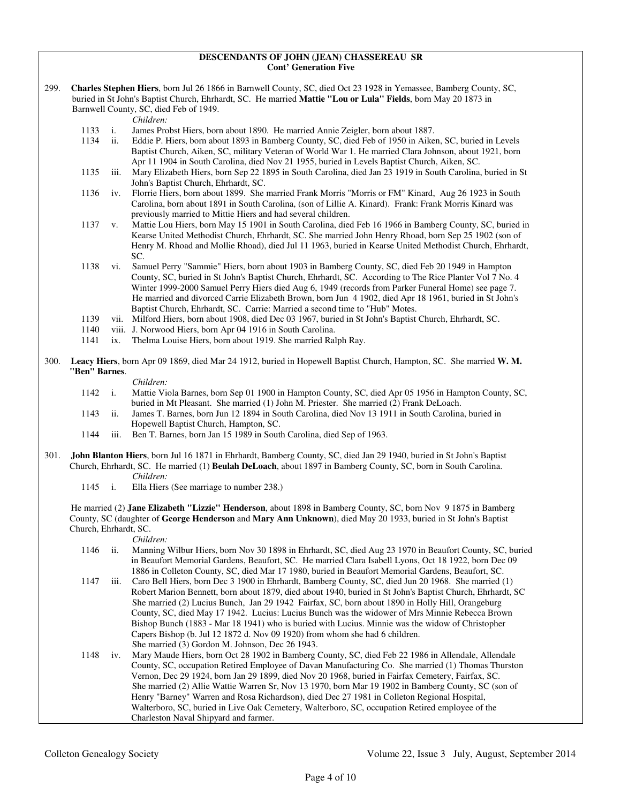#### **DESCENDANTS OF JOHN (JEAN) CHASSEREAU SR Cont' Generation Five**

299. **Charles Stephen Hiers**, born Jul 26 1866 in Barnwell County, SC, died Oct 23 1928 in Yemassee, Bamberg County, SC, buried in St John's Baptist Church, Ehrhardt, SC. He married **Mattie "Lou or Lula" Fields**, born May 20 1873 in Barnwell County, SC, died Feb of 1949.

*Children:*

- 
- 1133 i. James Probst Hiers, born about 1890. He married Annie Zeigler, born about 1887. ii. Eddie P. Hiers, born about 1893 in Bamberg County, SC, died Feb of 1950 in Aiken, SC, buried in Levels Baptist Church, Aiken, SC, military Veteran of World War 1. He married Clara Johnson, about 1921, born Apr 11 1904 in South Carolina, died Nov 21 1955, buried in Levels Baptist Church, Aiken, SC.
- 1135 iii. Mary Elizabeth Hiers, born Sep 22 1895 in South Carolina, died Jan 23 1919 in South Carolina, buried in St John's Baptist Church, Ehrhardt, SC.
- 1136 iv. Florrie Hiers, born about 1899. She married Frank Morris "Morris or FM" Kinard, Aug 26 1923 in South Carolina, born about 1891 in South Carolina, (son of Lillie A. Kinard). Frank: Frank Morris Kinard was previously married to Mittie Hiers and had several children.
- 1137 v. Mattie Lou Hiers, born May 15 1901 in South Carolina, died Feb 16 1966 in Bamberg County, SC, buried in Kearse United Methodist Church, Ehrhardt, SC. She married John Henry Rhoad, born Sep 25 1902 (son of Henry M. Rhoad and Mollie Rhoad), died Jul 11 1963, buried in Kearse United Methodist Church, Ehrhardt, SC.
- 1138 vi. Samuel Perry "Sammie" Hiers, born about 1903 in Bamberg County, SC, died Feb 20 1949 in Hampton County, SC, buried in St John's Baptist Church, Ehrhardt, SC. According to The Rice Planter Vol 7 No. 4 Winter 1999-2000 Samuel Perry Hiers died Aug 6, 1949 (records from Parker Funeral Home) see page 7. He married and divorced Carrie Elizabeth Brown, born Jun 4 1902, died Apr 18 1961, buried in St John's Baptist Church, Ehrhardt, SC. Carrie: Married a second time to "Hub" Motes.
- 1139 vii. Milford Hiers, born about 1908, died Dec 03 1967, buried in St John's Baptist Church, Ehrhardt, SC.<br>1140 viii. J. Norwood Hiers, born Apr 04 1916 in South Carolina.
- viii. J. Norwood Hiers, born Apr 04 1916 in South Carolina.
- 1141 ix. Thelma Louise Hiers, born about 1919. She married Ralph Ray.
- 300. **Leacy Hiers**, born Apr 09 1869, died Mar 24 1912, buried in Hopewell Baptist Church, Hampton, SC. She married **W. M. "Ben" Barnes**.

#### *Children:*

- 1142 i. Mattie Viola Barnes, born Sep 01 1900 in Hampton County, SC, died Apr 05 1956 in Hampton County, SC, buried in Mt Pleasant. She married (1) John M. Priester. She married (2) Frank DeLoach.
- 1143 ii. James T. Barnes, born Jun 12 1894 in South Carolina, died Nov 13 1911 in South Carolina, buried in Hopewell Baptist Church, Hampton, SC.
- 1144 iii. Ben T. Barnes, born Jan 15 1989 in South Carolina, died Sep of 1963.
- 301. **John Blanton Hiers**, born Jul 16 1871 in Ehrhardt, Bamberg County, SC, died Jan 29 1940, buried in St John's Baptist Church, Ehrhardt, SC. He married (1) **Beulah DeLoach**, about 1897 in Bamberg County, SC, born in South Carolina. *Children:*
	- 1145 i. Ella Hiers (See marriage to number 238.)

 He married (2) **Jane Elizabeth "Lizzie" Henderson**, about 1898 in Bamberg County, SC, born Nov 9 1875 in Bamberg County, SC (daughter of **George Henderson** and **Mary Ann Unknown**), died May 20 1933, buried in St John's Baptist Church, Ehrhardt, SC.

*Children:*

- 1146 ii. Manning Wilbur Hiers, born Nov 30 1898 in Ehrhardt, SC, died Aug 23 1970 in Beaufort County, SC, buried in Beaufort Memorial Gardens, Beaufort, SC. He married Clara Isabell Lyons, Oct 18 1922, born Dec 09 1886 in Colleton County, SC, died Mar 17 1980, buried in Beaufort Memorial Gardens, Beaufort, SC.
- 1147 iii. Caro Bell Hiers, born Dec 3 1900 in Ehrhardt, Bamberg County, SC, died Jun 20 1968. She married (1) Robert Marion Bennett, born about 1879, died about 1940, buried in St John's Baptist Church, Ehrhardt, SC She married (2) Lucius Bunch, Jan 29 1942 Fairfax, SC, born about 1890 in Holly Hill, Orangeburg County, SC, died May 17 1942. Lucius: Lucius Bunch was the widower of Mrs Minnie Rebecca Brown Bishop Bunch (1883 - Mar 18 1941) who is buried with Lucius. Minnie was the widow of Christopher Capers Bishop (b. Jul 12 1872 d. Nov 09 1920) from whom she had 6 children. She married (3) Gordon M. Johnson, Dec 26 1943.
- 1148 iv. Mary Maude Hiers, born Oct 28 1902 in Bamberg County, SC, died Feb 22 1986 in Allendale, Allendale County, SC, occupation Retired Employee of Davan Manufacturing Co. She married (1) Thomas Thurston Vernon, Dec 29 1924, born Jan 29 1899, died Nov 20 1968, buried in Fairfax Cemetery, Fairfax, SC. She married (2) Allie Wattie Warren Sr, Nov 13 1970, born Mar 19 1902 in Bamberg County, SC (son of Henry "Barney" Warren and Rosa Richardson), died Dec 27 1981 in Colleton Regional Hospital, Walterboro, SC, buried in Live Oak Cemetery, Walterboro, SC, occupation Retired employee of the Charleston Naval Shipyard and farmer.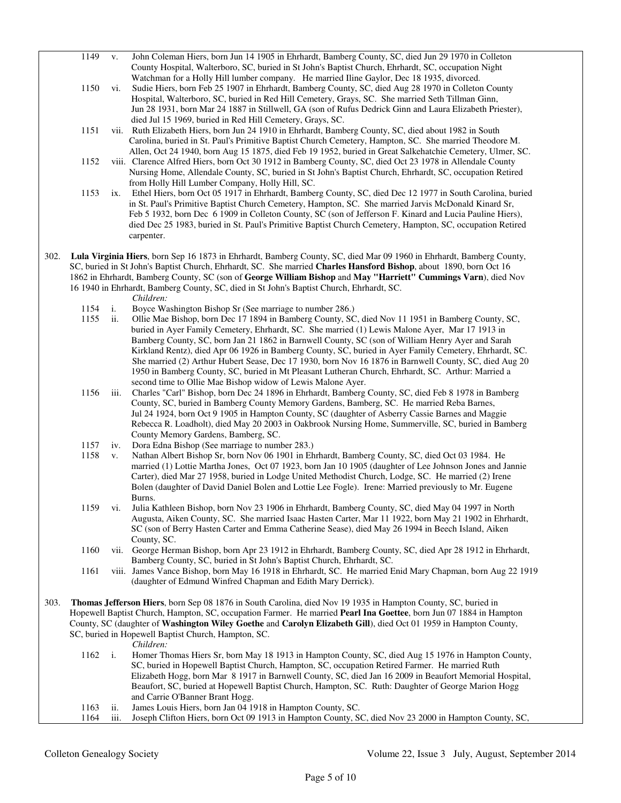- 1149 v. John Coleman Hiers, born Jun 14 1905 in Ehrhardt, Bamberg County, SC, died Jun 29 1970 in Colleton County Hospital, Walterboro, SC, buried in St John's Baptist Church, Ehrhardt, SC, occupation Night
- Watchman for a Holly Hill lumber company. He married Iline Gaylor, Dec 18 1935, divorced.<br>1150 vi. Sudie Hiers, born Feb 25 1907 in Ehrhardt, Bamberg County, SC, died Aug 28 1970 in Colletor vi. Sudie Hiers, born Feb 25 1907 in Ehrhardt, Bamberg County, SC, died Aug 28 1970 in Colleton County Hospital, Walterboro, SC, buried in Red Hill Cemetery, Grays, SC. She married Seth Tillman Ginn, Jun 28 1931, born Mar 24 1887 in Stillwell, GA (son of Rufus Dedrick Ginn and Laura Elizabeth Priester), died Jul 15 1969, buried in Red Hill Cemetery, Grays, SC.
- 1151 vii. Ruth Elizabeth Hiers, born Jun 24 1910 in Ehrhardt, Bamberg County, SC, died about 1982 in South Carolina, buried in St. Paul's Primitive Baptist Church Cemetery, Hampton, SC. She married Theodore M. Allen, Oct 24 1940, born Aug 15 1875, died Feb 19 1952, buried in Great Salkehatchie Cemetery, Ulmer, SC.
- 1152 viii. Clarence Alfred Hiers, born Oct 30 1912 in Bamberg County, SC, died Oct 23 1978 in Allendale County Nursing Home, Allendale County, SC, buried in St John's Baptist Church, Ehrhardt, SC, occupation Retired from Holly Hill Lumber Company, Holly Hill, SC.
- 1153 ix. Ethel Hiers, born Oct 05 1917 in Ehrhardt, Bamberg County, SC, died Dec 12 1977 in South Carolina, buried in St. Paul's Primitive Baptist Church Cemetery, Hampton, SC. She married Jarvis McDonald Kinard Sr, Feb 5 1932, born Dec 6 1909 in Colleton County, SC (son of Jefferson F. Kinard and Lucia Pauline Hiers), died Dec 25 1983, buried in St. Paul's Primitive Baptist Church Cemetery, Hampton, SC, occupation Retired carpenter.
- 302. **Lula Virginia Hiers**, born Sep 16 1873 in Ehrhardt, Bamberg County, SC, died Mar 09 1960 in Ehrhardt, Bamberg County, SC, buried in St John's Baptist Church, Ehrhardt, SC. She married **Charles Hansford Bishop**, about 1890, born Oct 16 1862 in Ehrhardt, Bamberg County, SC (son of **George William Bishop** and **May "Harriett" Cummings Varn**), died Nov 16 1940 in Ehrhardt, Bamberg County, SC, died in St John's Baptist Church, Ehrhardt, SC.
	- *Children:*
	- 1154 i. Boyce Washington Bishop Sr (See marriage to number 286.)<br>1155 ii. Ollie Mae Bishop, born Dec 17 1894 in Bamberg County, SC
	- 1155 ii. Ollie Mae Bishop, born Dec 17 1894 in Bamberg County, SC, died Nov 11 1951 in Bamberg County, SC, buried in Ayer Family Cemetery, Ehrhardt, SC. She married (1) Lewis Malone Ayer, Mar 17 1913 in Bamberg County, SC, born Jan 21 1862 in Barnwell County, SC (son of William Henry Ayer and Sarah Kirkland Rentz), died Apr 06 1926 in Bamberg County, SC, buried in Ayer Family Cemetery, Ehrhardt, SC. She married (2) Arthur Hubert Sease, Dec 17 1930, born Nov 16 1876 in Barnwell County, SC, died Aug 20 1950 in Bamberg County, SC, buried in Mt Pleasant Lutheran Church, Ehrhardt, SC. Arthur: Married a second time to Ollie Mae Bishop widow of Lewis Malone Ayer.
	- 1156 iii. Charles "Carl" Bishop, born Dec 24 1896 in Ehrhardt, Bamberg County, SC, died Feb 8 1978 in Bamberg County, SC, buried in Bamberg County Memory Gardens, Bamberg, SC. He married Reba Barnes, Jul 24 1924, born Oct 9 1905 in Hampton County, SC (daughter of Asberry Cassie Barnes and Maggie Rebecca R. Loadholt), died May 20 2003 in Oakbrook Nursing Home, Summerville, SC, buried in Bamberg County Memory Gardens, Bamberg, SC.<br>1157 iv. Dora Edna Bishop (See marriage to num)
	- iv. Dora Edna Bishop (See marriage to number 283.)
	- 1158 v. Nathan Albert Bishop Sr, born Nov 06 1901 in Ehrhardt, Bamberg County, SC, died Oct 03 1984. He married (1) Lottie Martha Jones, Oct 07 1923, born Jan 10 1905 (daughter of Lee Johnson Jones and Jannie Carter), died Mar 27 1958, buried in Lodge United Methodist Church, Lodge, SC. He married (2) Irene Bolen (daughter of David Daniel Bolen and Lottie Lee Fogle). Irene: Married previously to Mr. Eugene Burns.
	- 1159 vi. Julia Kathleen Bishop, born Nov 23 1906 in Ehrhardt, Bamberg County, SC, died May 04 1997 in North Augusta, Aiken County, SC. She married Isaac Hasten Carter, Mar 11 1922, born May 21 1902 in Ehrhardt, SC (son of Berry Hasten Carter and Emma Catherine Sease), died May 26 1994 in Beech Island, Aiken County, SC.
	- 1160 vii. George Herman Bishop, born Apr 23 1912 in Ehrhardt, Bamberg County, SC, died Apr 28 1912 in Ehrhardt, Bamberg County, SC, buried in St John's Baptist Church, Ehrhardt, SC.
	- 1161 viii. James Vance Bishop, born May 16 1918 in Ehrhardt, SC. He married Enid Mary Chapman, born Aug 22 1919 (daughter of Edmund Winfred Chapman and Edith Mary Derrick).
- 303. **Thomas Jefferson Hiers**, born Sep 08 1876 in South Carolina, died Nov 19 1935 in Hampton County, SC, buried in Hopewell Baptist Church, Hampton, SC, occupation Farmer. He married **Pearl Ina Goettee**, born Jun 07 1884 in Hampton County, SC (daughter of **Washington Wiley Goethe** and **Carolyn Elizabeth Gill**), died Oct 01 1959 in Hampton County, SC, buried in Hopewell Baptist Church, Hampton, SC.
	- *Children:*
	- 1162 i. Homer Thomas Hiers Sr, born May 18 1913 in Hampton County, SC, died Aug 15 1976 in Hampton County, SC, buried in Hopewell Baptist Church, Hampton, SC, occupation Retired Farmer. He married Ruth Elizabeth Hogg, born Mar 8 1917 in Barnwell County, SC, died Jan 16 2009 in Beaufort Memorial Hospital, Beaufort, SC, buried at Hopewell Baptist Church, Hampton, SC. Ruth: Daughter of George Marion Hogg and Carrie O'Banner Brant Hogg.<br>1163 ii. James Louis Hiers, born Jan 04 19
	- 1163 ii. James Louis Hiers, born Jan 04 1918 in Hampton County, SC.<br>1164 iii. Joseph Clifton Hiers, born Oct 09 1913 in Hampton County, S
	- iii. Joseph Clifton Hiers, born Oct 09 1913 in Hampton County, SC, died Nov 23 2000 in Hampton County, SC,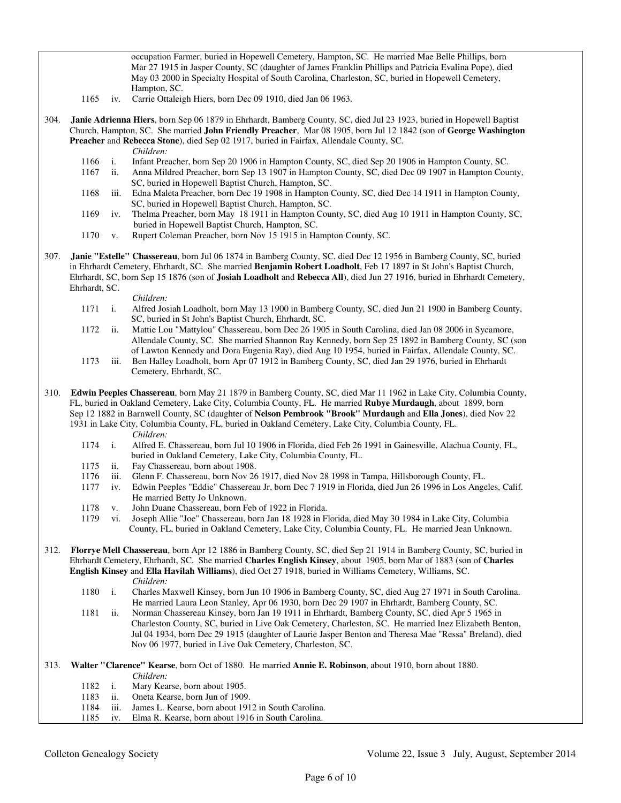occupation Farmer, buried in Hopewell Cemetery, Hampton, SC. He married Mae Belle Phillips, born Mar 27 1915 in Jasper County, SC (daughter of James Franklin Phillips and Patricia Evalina Pope), died May 03 2000 in Specialty Hospital of South Carolina, Charleston, SC, buried in Hopewell Cemetery, Hampton, SC.

- 1165 iv. Carrie Ottaleigh Hiers, born Dec 09 1910, died Jan 06 1963.
- 304. **Janie Adrienna Hiers**, born Sep 06 1879 in Ehrhardt, Bamberg County, SC, died Jul 23 1923, buried in Hopewell Baptist Church, Hampton, SC. She married **John Friendly Preacher**, Mar 08 1905, born Jul 12 1842 (son of **George Washington Preacher** and **Rebecca Stone**), died Sep 02 1917, buried in Fairfax, Allendale County, SC. *Children:*
	- 1166 i. Infant Preacher, born Sep 20 1906 in Hampton County, SC, died Sep 20 1906 in Hampton County, SC.
	- 1167 ii. Anna Mildred Preacher, born Sep 13 1907 in Hampton County, SC, died Dec 09 1907 in Hampton County, SC, buried in Hopewell Baptist Church, Hampton, SC.
	- 1168 iii. Edna Maleta Preacher, born Dec 19 1908 in Hampton County, SC, died Dec 14 1911 in Hampton County, SC, buried in Hopewell Baptist Church, Hampton, SC.
	- 1169 iv. Thelma Preacher, born May 18 1911 in Hampton County, SC, died Aug 10 1911 in Hampton County, SC, buried in Hopewell Baptist Church, Hampton, SC.
	- 1170 v. Rupert Coleman Preacher, born Nov 15 1915 in Hampton County, SC.
- 307. **Janie "Estelle" Chassereau**, born Jul 06 1874 in Bamberg County, SC, died Dec 12 1956 in Bamberg County, SC, buried in Ehrhardt Cemetery, Ehrhardt, SC. She married **Benjamin Robert Loadholt**, Feb 17 1897 in St John's Baptist Church, Ehrhardt, SC, born Sep 15 1876 (son of **Josiah Loadholt** and **Rebecca All**), died Jun 27 1916, buried in Ehrhardt Cemetery, Ehrhardt, SC.

- *Children:*<br>1171 i. Alfred Jos Alfred Josiah Loadholt, born May 13 1900 in Bamberg County, SC, died Jun 21 1900 in Bamberg County, SC, buried in St John's Baptist Church, Ehrhardt, SC.
- 1172 ii. Mattie Lou "Mattylou" Chassereau, born Dec 26 1905 in South Carolina, died Jan 08 2006 in Sycamore, Allendale County, SC. She married Shannon Ray Kennedy, born Sep 25 1892 in Bamberg County, SC (son of Lawton Kennedy and Dora Eugenia Ray), died Aug 10 1954, buried in Fairfax, Allendale County, SC.
- 1173 iii. Ben Halley Loadholt, born Apr 07 1912 in Bamberg County, SC, died Jan 29 1976, buried in Ehrhardt Cemetery, Ehrhardt, SC.
- 310. **Edwin Peeples Chassereau**, born May 21 1879 in Bamberg County, SC, died Mar 11 1962 in Lake City, Columbia County, FL, buried in Oakland Cemetery, Lake City, Columbia County, FL. He married **Rubye Murdaugh**, about 1899, born Sep 12 1882 in Barnwell County, SC (daughter of **Nelson Pembrook "Brook" Murdaugh** and **Ella Jones**), died Nov 22 1931 in Lake City, Columbia County, FL, buried in Oakland Cemetery, Lake City, Columbia County, FL.
	-
	- *Children:*<br>1174 i. Alfred E. 1174 i. Alfred E. Chassereau, born Jul 10 1906 in Florida, died Feb 26 1991 in Gainesville, Alachua County, FL, buried in Oakland Cemetery, Lake City, Columbia County, FL.
	- 1175 ii. Fay Chassereau, born about 1908.
	- 1176 iii. Glenn F. Chassereau, born Nov 26 1917, died Nov 28 1998 in Tampa, Hillsborough County, FL.
	- 1177 iv. Edwin Peeples "Eddie" Chassereau Jr, born Dec 7 1919 in Florida, died Jun 26 1996 in Los Angeles, Calif. He married Betty Jo Unknown.
	- 1178 v. John Duane Chassereau, born Feb of 1922 in Florida.
	- 1179 vi. Joseph Allie "Joe" Chassereau, born Jan 18 1928 in Florida, died May 30 1984 in Lake City, Columbia County, FL, buried in Oakland Cemetery, Lake City, Columbia County, FL. He married Jean Unknown.
- 312. **Florrye Mell Chassereau**, born Apr 12 1886 in Bamberg County, SC, died Sep 21 1914 in Bamberg County, SC, buried in Ehrhardt Cemetery, Ehrhardt, SC. She married **Charles English Kinsey**, about 1905, born Mar of 1883 (son of **Charles English Kinsey** and **Ella Havilah Williams**), died Oct 27 1918, buried in Williams Cemetery, Williams, SC. *Children:*
	- 1180 i. Charles Maxwell Kinsey, born Jun 10 1906 in Bamberg County, SC, died Aug 27 1971 in South Carolina. He married Laura Leon Stanley, Apr 06 1930, born Dec 29 1907 in Ehrhardt, Bamberg County, SC.
	- 1181 ii. Norman Chassereau Kinsey, born Jan 19 1911 in Ehrhardt, Bamberg County, SC, died Apr 5 1965 in Charleston County, SC, buried in Live Oak Cemetery, Charleston, SC. He married Inez Elizabeth Benton, Jul 04 1934, born Dec 29 1915 (daughter of Laurie Jasper Benton and Theresa Mae "Ressa" Breland), died Nov 06 1977, buried in Live Oak Cemetery, Charleston, SC.
- 313. **Walter "Clarence" Kearse**, born Oct of 1880. He married **Annie E. Robinson**, about 1910, born about 1880. *Children:*
	- 1182 i. Mary Kearse, born about 1905.<br>1183 ii. Oneta Kearse, born Jun of 1909
	- 1183 ii. Oneta Kearse, born Jun of 1909.<br>1184 iii. James L. Kearse, born about 191
	- 1184 iii. James L. Kearse, born about 1912 in South Carolina.<br>1185 iv. Elma R. Kearse, born about 1916 in South Carolina.
	- iv. Elma R. Kearse, born about 1916 in South Carolina.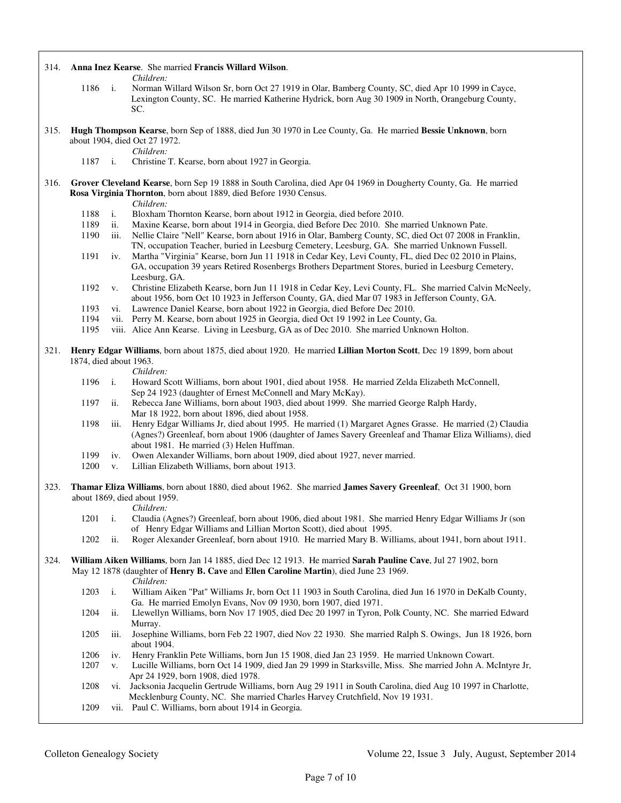| 314.                                                                                                                                                                                                        |                        |                | Anna Inez Kearse. She married Francis Willard Wilson.                                                                                                                                                                                                           |
|-------------------------------------------------------------------------------------------------------------------------------------------------------------------------------------------------------------|------------------------|----------------|-----------------------------------------------------------------------------------------------------------------------------------------------------------------------------------------------------------------------------------------------------------------|
|                                                                                                                                                                                                             | 1186                   | $\mathbf{i}$ . | Children:<br>Norman Willard Wilson Sr, born Oct 27 1919 in Olar, Bamberg County, SC, died Apr 10 1999 in Cayce,<br>Lexington County, SC. He married Katherine Hydrick, born Aug 30 1909 in North, Orangeburg County,<br>SC.                                     |
| 315.                                                                                                                                                                                                        |                        |                | Hugh Thompson Kearse, born Sep of 1888, died Jun 30 1970 in Lee County, Ga. He married Bessie Unknown, born<br>about 1904, died Oct 27 1972.                                                                                                                    |
|                                                                                                                                                                                                             | 1187                   | $\mathbf{i}$ . | Children:<br>Christine T. Kearse, born about 1927 in Georgia.                                                                                                                                                                                                   |
| Grover Cleveland Kearse, born Sep 19 1888 in South Carolina, died Apr 04 1969 in Dougherty County, Ga. He married<br>316.<br>Rosa Virginia Thornton, born about 1889, died Before 1930 Census.<br>Children: |                        |                |                                                                                                                                                                                                                                                                 |
|                                                                                                                                                                                                             | 1188                   | i.             | Bloxham Thornton Kearse, born about 1912 in Georgia, died before 2010.                                                                                                                                                                                          |
|                                                                                                                                                                                                             | 1189                   | ii.            | Maxine Kearse, born about 1914 in Georgia, died Before Dec 2010. She married Unknown Pate.                                                                                                                                                                      |
|                                                                                                                                                                                                             | 1190                   | iii.           | Nellie Claire "Nell" Kearse, born about 1916 in Olar, Bamberg County, SC, died Oct 07 2008 in Franklin,<br>TN, occupation Teacher, buried in Leesburg Cemetery, Leesburg, GA. She married Unknown Fussell.                                                      |
|                                                                                                                                                                                                             | 1191                   | iv.            | Martha "Virginia" Kearse, born Jun 11 1918 in Cedar Key, Levi County, FL, died Dec 02 2010 in Plains,<br>GA, occupation 39 years Retired Rosenbergs Brothers Department Stores, buried in Leesburg Cemetery,<br>Leesburg, GA.                                   |
|                                                                                                                                                                                                             | 1192                   | V.             | Christine Elizabeth Kearse, born Jun 11 1918 in Cedar Key, Levi County, FL. She married Calvin McNeely,<br>about 1956, born Oct 10 1923 in Jefferson County, GA, died Mar 07 1983 in Jefferson County, GA.                                                      |
|                                                                                                                                                                                                             | 1193                   | vi.            | Lawrence Daniel Kearse, born about 1922 in Georgia, died Before Dec 2010.                                                                                                                                                                                       |
|                                                                                                                                                                                                             | 1194<br>1195           |                | vii. Perry M. Kearse, born about 1925 in Georgia, died Oct 19 1992 in Lee County, Ga.<br>viii. Alice Ann Kearse. Living in Leesburg, GA as of Dec 2010. She married Unknown Holton.                                                                             |
|                                                                                                                                                                                                             |                        |                |                                                                                                                                                                                                                                                                 |
| 321.                                                                                                                                                                                                        | 1874, died about 1963. |                | Henry Edgar Williams, born about 1875, died about 1920. He married Lillian Morton Scott, Dec 19 1899, born about<br>Children:                                                                                                                                   |
|                                                                                                                                                                                                             | 1196                   | $\mathbf{i}$ . | Howard Scott Williams, born about 1901, died about 1958. He married Zelda Elizabeth McConnell,                                                                                                                                                                  |
|                                                                                                                                                                                                             | 1197                   | ii.            | Sep 24 1923 (daughter of Ernest McConnell and Mary McKay).<br>Rebecca Jane Williams, born about 1903, died about 1999. She married George Ralph Hardy,<br>Mar 18 1922, born about 1896, died about 1958.                                                        |
|                                                                                                                                                                                                             | 1198                   | iii.           | Henry Edgar Williams Jr, died about 1995. He married (1) Margaret Agnes Grasse. He married (2) Claudia<br>(Agnes?) Greenleaf, born about 1906 (daughter of James Savery Greenleaf and Thamar Eliza Williams), died<br>about 1981. He married (3) Helen Huffman. |
|                                                                                                                                                                                                             | 1199                   | iv.            | Owen Alexander Williams, born about 1909, died about 1927, never married.                                                                                                                                                                                       |
|                                                                                                                                                                                                             | 1200                   | V.             | Lillian Elizabeth Williams, born about 1913.                                                                                                                                                                                                                    |
| 323.                                                                                                                                                                                                        |                        |                | Thamar Eliza Williams, born about 1880, died about 1962. She married James Savery Greenleaf, Oct 31 1900, born<br>about 1869, died about 1959.                                                                                                                  |
|                                                                                                                                                                                                             | 1201                   | i.             | Children:<br>Claudia (Agnes?) Greenleaf, born about 1906, died about 1981. She married Henry Edgar Williams Jr (son<br>of Henry Edgar Williams and Lillian Morton Scott), died about 1995.                                                                      |
|                                                                                                                                                                                                             | 1202                   | ii.            | Roger Alexander Greenleaf, born about 1910. He married Mary B. Williams, about 1941, born about 1911.                                                                                                                                                           |
| 324.                                                                                                                                                                                                        |                        |                | William Aiken Williams, born Jan 14 1885, died Dec 12 1913. He married Sarah Pauline Cave, Jul 27 1902, born<br>May 12 1878 (daughter of Henry B. Cave and Ellen Caroline Martin), died June 23 1969.<br>Children:                                              |
|                                                                                                                                                                                                             | 1203                   | i.             | William Aiken "Pat" Williams Jr, born Oct 11 1903 in South Carolina, died Jun 16 1970 in DeKalb County,<br>Ga. He married Emolyn Evans, Nov 09 1930, born 1907, died 1971.                                                                                      |
|                                                                                                                                                                                                             | 1204                   | ii.            | Llewellyn Williams, born Nov 17 1905, died Dec 20 1997 in Tyron, Polk County, NC. She married Edward<br>Murray.                                                                                                                                                 |
|                                                                                                                                                                                                             | 1205                   | iii.           | Josephine Williams, born Feb 22 1907, died Nov 22 1930. She married Ralph S. Owings, Jun 18 1926, born<br>about 1904.                                                                                                                                           |
|                                                                                                                                                                                                             | 1206<br>1207           | iv.<br>V.      | Henry Franklin Pete Williams, born Jun 15 1908, died Jan 23 1959. He married Unknown Cowart.<br>Lucille Williams, born Oct 14 1909, died Jan 29 1999 in Starksville, Miss. She married John A. McIntyre Jr,<br>Apr 24 1929, born 1908, died 1978.               |
|                                                                                                                                                                                                             | 1208                   |                | vi. Jacksonia Jacquelin Gertrude Williams, born Aug 29 1911 in South Carolina, died Aug 10 1997 in Charlotte,<br>Mecklenburg County, NC. She married Charles Harvey Crutchfield, Nov 19 1931.                                                                   |
|                                                                                                                                                                                                             | 1209                   |                | vii. Paul C. Williams, born about 1914 in Georgia.                                                                                                                                                                                                              |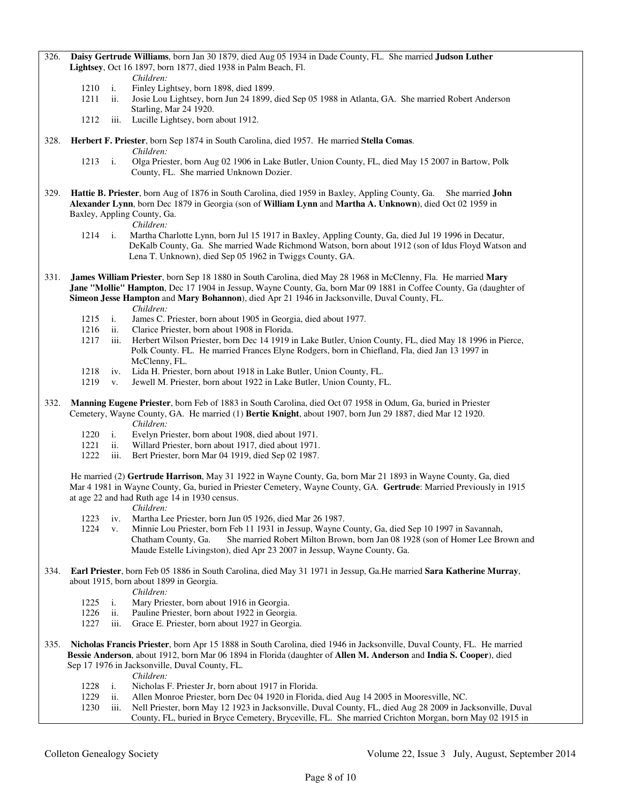#### 326. **Daisy Gertrude Williams**, born Jan 30 1879, died Aug 05 1934 in Dade County, FL. She married **Judson Luther Lightsey**, Oct 16 1897, born 1877, died 1938 in Palm Beach, Fl.

- 
- *Children:*<br>1210 i. Finley Lis i. Finley Lightsey, born 1898, died 1899.
- 1211 ii. Josie Lou Lightsey, born Jun 24 1899, died Sep 05 1988 in Atlanta, GA. She married Robert Anderson Starling, Mar 24 1920.
- 1212 iii. Lucille Lightsey, born about 1912.
- 328. **Herbert F. Priester**, born Sep 1874 in South Carolina, died 1957. He married **Stella Comas**. *Children:*
	- 1213 i. Olga Priester, born Aug 02 1906 in Lake Butler, Union County, FL, died May 15 2007 in Bartow, Polk County, FL. She married Unknown Dozier.
- 329. **Hattie B. Priester**, born Aug of 1876 in South Carolina, died 1959 in Baxley, Appling County, Ga. She married **John Alexander Lynn**, born Dec 1879 in Georgia (son of **William Lynn** and **Martha A. Unknown**), died Oct 02 1959 in Baxley, Appling County, Ga.

*Children:*

- 1214 i. Martha Charlotte Lynn, born Jul 15 1917 in Baxley, Appling County, Ga, died Jul 19 1996 in Decatur, DeKalb County, Ga. She married Wade Richmond Watson, born about 1912 (son of Idus Floyd Watson and Lena T. Unknown), died Sep 05 1962 in Twiggs County, GA.
- 331. **James William Priester**, born Sep 18 1880 in South Carolina, died May 28 1968 in McClenny, Fla. He married **Mary Jane "Mollie" Hampton**, Dec 17 1904 in Jessup, Wayne County, Ga, born Mar 09 1881 in Coffee County, Ga (daughter of **Simeon Jesse Hampton** and **Mary Bohannon**), died Apr 21 1946 in Jacksonville, Duval County, FL. *Children:*
	- 1215 i. James C. Priester, born about 1905 in Georgia, died about 1977.<br>1216 ii. Clarice Priester, born about 1908 in Florida.
	- 1216 ii. Clarice Priester, born about 1908 in Florida.<br>1217 iii. Herbert Wilson Priester, born Dec 14 1919 i
	- iii. Herbert Wilson Priester, born Dec 14 1919 in Lake Butler, Union County, FL, died May 18 1996 in Pierce, Polk County. FL. He married Frances Elyne Rodgers, born in Chiefland, Fla, died Jan 13 1997 in McClenny, FL.
	- 1218 iv. Lida H. Priester, born about 1918 in Lake Butler, Union County, FL.
	- 1219 v. Jewell M. Priester, born about 1922 in Lake Butler, Union County, FL.
- 332. **Manning Eugene Priester**, born Feb of 1883 in South Carolina, died Oct 07 1958 in Odum, Ga, buried in Priester Cemetery, Wayne County, GA. He married (1) **Bertie Knight**, about 1907, born Jun 29 1887, died Mar 12 1920. *Children:*
	-
	- 1220 i. Evelyn Priester, born about 1908, died about 1971. ii. Willard Priester, born about 1917, died about 1971.
	- 1222 iii. Bert Priester, born Mar 04 1919, died Sep 02 1987.

 He married (2) **Gertrude Harrison**, May 31 1922 in Wayne County, Ga, born Mar 21 1893 in Wayne County, Ga, died Mar 4 1981 in Wayne County, Ga, buried in Priester Cemetery, Wayne County, GA. **Gertrude**: Married Previously in 1915 at age 22 and had Ruth age 14 in 1930 census.

*Children:*

- 1223 iv. Martha Lee Priester, born Jun 05 1926, died Mar 26 1987.
- 1224 v. Minnie Lou Priester, born Feb 11 1931 in Jessup, Wayne County, Ga, died Sep 10 1997 in Savannah, Chatham County, Ga. She married Robert Milton Brown, born Jan 08 1928 (son of Homer Lee Brown and Maude Estelle Livingston), died Apr 23 2007 in Jessup, Wayne County, Ga.
- 334. **Earl Priester**, born Feb 05 1886 in South Carolina, died May 31 1971 in Jessup, Ga.He married **Sara Katherine Murray**, about 1915, born about 1899 in Georgia.

- *Children:*<br>1225 i. Mary Prie i. Mary Priester, born about 1916 in Georgia.
- 1226 ii. Pauline Priester, born about 1922 in Georgia.
- 1227 iii. Grace E. Priester, born about 1927 in Georgia.
- 335. **Nicholas Francis Priester**, born Apr 15 1888 in South Carolina, died 1946 in Jacksonville, Duval County, FL. He married **Bessie Anderson**, about 1912, born Mar 06 1894 in Florida (daughter of **Allen M. Anderson** and **India S. Cooper**), died Sep 17 1976 in Jacksonville, Duval County, FL.
	- *Children:*
	- 1228 i. Nicholas F. Priester Jr, born about 1917 in Florida.<br>1229 ii. Allen Monroe Priester, born Dec 04 1920 in Florida.
	- 1229 ii. Allen Monroe Priester, born Dec 04 1920 in Florida, died Aug 14 2005 in Mooresville, NC.
	- 1230 iii. Nell Priester, born May 12 1923 in Jacksonville, Duval County, FL, died Aug 28 2009 in Jacksonville, Duval County, FL, buried in Bryce Cemetery, Bryceville, FL. She married Crichton Morgan, born May 02 1915 in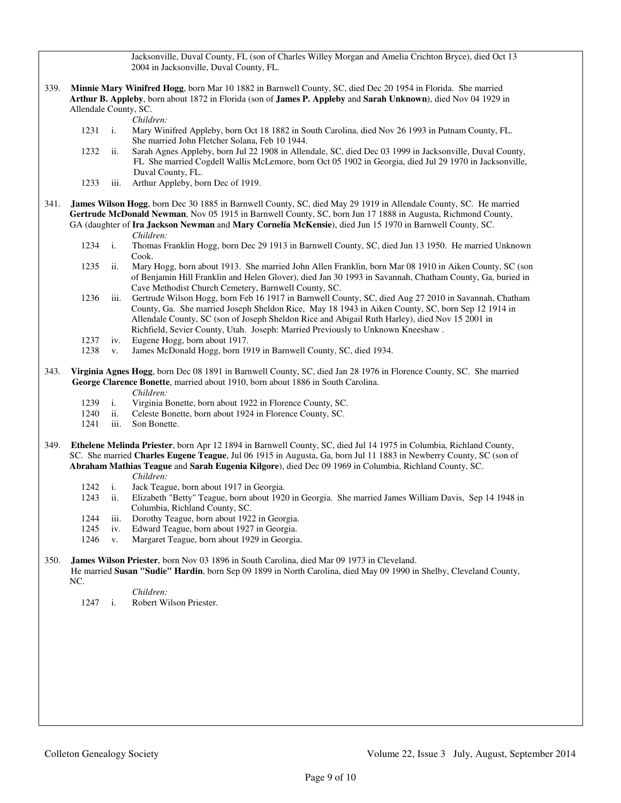Jacksonville, Duval County, FL (son of Charles Willey Morgan and Amelia Crichton Bryce), died Oct 13 2004 in Jacksonville, Duval County, FL.

339. **Minnie Mary Winifred Hogg**, born Mar 10 1882 in Barnwell County, SC, died Dec 20 1954 in Florida. She married **Arthur B. Appleby**, born about 1872 in Florida (son of **James P. Appleby** and **Sarah Unknown**), died Nov 04 1929 in Allendale County, SC.

*Children:*

- 1231 i. Mary Winifred Appleby, born Oct 18 1882 in South Carolina, died Nov 26 1993 in Putnam County, FL. She married John Fletcher Solana, Feb 10 1944.
- 1232 ii. Sarah Agnes Appleby, born Jul 22 1908 in Allendale, SC, died Dec 03 1999 in Jacksonville, Duval County, FL She married Cogdell Wallis McLemore, born Oct 05 1902 in Georgia, died Jul 29 1970 in Jacksonville, Duval County, FL.<br>1233 iii. Arthur Appleby. bo
- iii. Arthur Appleby, born Dec of 1919.
- 341. **James Wilson Hogg**, born Dec 30 1885 in Barnwell County, SC, died May 29 1919 in Allendale County, SC. He married **Gertrude McDonald Newman**, Nov 05 1915 in Barnwell County, SC, born Jun 17 1888 in Augusta, Richmond County, GA (daughter of **Ira Jackson Newman** and **Mary Cornelia McKensie**), died Jun 15 1970 in Barnwell County, SC. *Children:*
	- 1234 i. Thomas Franklin Hogg, born Dec 29 1913 in Barnwell County, SC, died Jun 13 1950. He married Unknown Cook.
	- 1235 ii. Mary Hogg, born about 1913. She married John Allen Franklin, born Mar 08 1910 in Aiken County, SC (son of Benjamin Hill Franklin and Helen Glover), died Jan 30 1993 in Savannah, Chatham County, Ga, buried in Cave Methodist Church Cemetery, Barnwell County, SC.
	- 1236 iii. Gertrude Wilson Hogg, born Feb 16 1917 in Barnwell County, SC, died Aug 27 2010 in Savannah, Chatham County, Ga. She married Joseph Sheldon Rice, May 18 1943 in Aiken County, SC, born Sep 12 1914 in Allendale County, SC (son of Joseph Sheldon Rice and Abigail Ruth Harley), died Nov 15 2001 in Richfield, Sevier County, Utah. Joseph: Married Previously to Unknown Kneeshaw .
	- 1237 iv. Eugene Hogg, born about 1917.<br>1238 v. James McDonald Hogg, born 19
	- v. James McDonald Hogg, born 1919 in Barnwell County, SC, died 1934.
- 343. **Virginia Agnes Hogg**, born Dec 08 1891 in Barnwell County, SC, died Jan 28 1976 in Florence County, SC. She married **George Clarence Bonette**, married about 1910, born about 1886 in South Carolina. *Children:*
	- 1239 i. Virginia Bonette, born about 1922 in Florence County, SC.
	- 1240 ii. Celeste Bonette, born about 1924 in Florence County, SC.
	- 1241 iii. Son Bonette.
- 349. **Ethelene Melinda Priester**, born Apr 12 1894 in Barnwell County, SC, died Jul 14 1975 in Columbia, Richland County, SC. She married **Charles Eugene Teague**, Jul 06 1915 in Augusta, Ga, born Jul 11 1883 in Newberry County, SC (son of **Abraham Mathias Teague** and **Sarah Eugenia Kilgore**), died Dec 09 1969 in Columbia, Richland County, SC. *Children:*
	- 1242 i. Jack Teague, born about 1917 in Georgia.
	- 1243 ii. Elizabeth "Betty" Teague, born about 1920 in Georgia. She married James William Davis, Sep 14 1948 in Columbia, Richland County, SC.
	- 1244 iii. Dorothy Teague, born about 1922 in Georgia.
	- 1245 iv. Edward Teague, born about 1927 in Georgia.
	- 1246 v. Margaret Teague, born about 1929 in Georgia.

350. **James Wilson Priester**, born Nov 03 1896 in South Carolina, died Mar 09 1973 in Cleveland.

 He married **Susan "Sudie" Hardin**, born Sep 09 1899 in North Carolina, died May 09 1990 in Shelby, Cleveland County, NC.

- *Children:*
- 1247 i. Robert Wilson Priester.